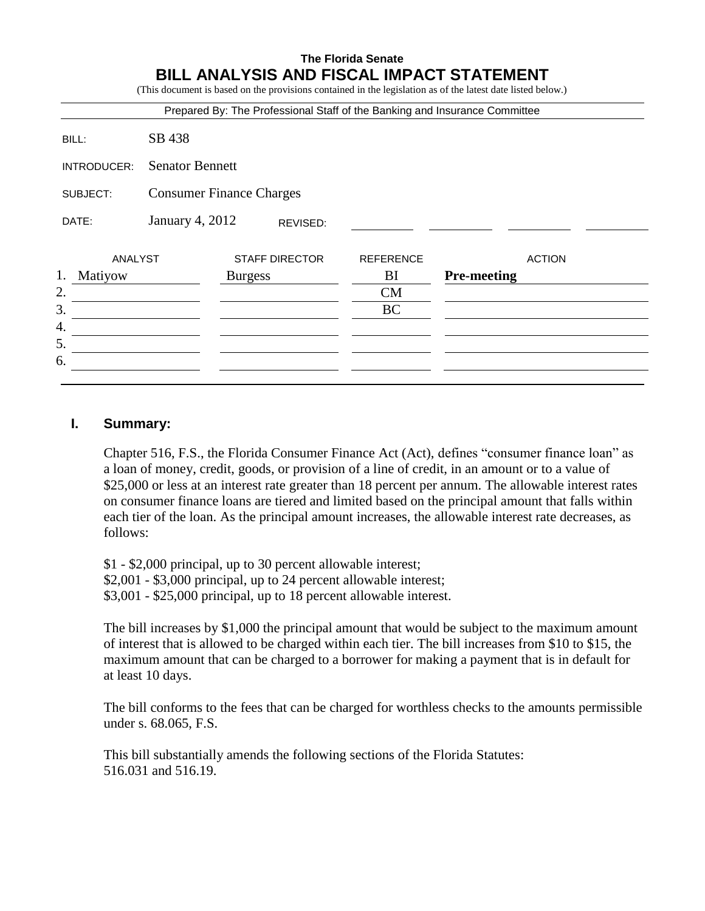# **The Florida Senate BILL ANALYSIS AND FISCAL IMPACT STATEMENT**

(This document is based on the provisions contained in the legislation as of the latest date listed below.) Prepared By: The Professional Staff of the Banking and Insurance Committee BILL: SB 438 INTRODUCER: Senator Bennett SUBJECT: Consumer Finance Charges

ANALYST STAFF DIRECTOR REFERENCE ACTION 1. Matiyow Burgess BI **Pre-meeting** 2. CM  $3.$  BC 4. 5. 6.

REVISED:

#### **I. Summary:**

DATE: January 4, 2012

Chapter 516, F.S., the Florida Consumer Finance Act (Act), defines "consumer finance loan" as a loan of money, credit, goods, or provision of a line of credit, in an amount or to a value of \$25,000 or less at an interest rate greater than 18 percent per annum. The allowable interest rates on consumer finance loans are tiered and limited based on the principal amount that falls within each tier of the loan. As the principal amount increases, the allowable interest rate decreases, as follows:

\$1 - \$2,000 principal, up to 30 percent allowable interest; \$2,001 - \$3,000 principal, up to 24 percent allowable interest; \$3,001 - \$25,000 principal, up to 18 percent allowable interest.

The bill increases by \$1,000 the principal amount that would be subject to the maximum amount of interest that is allowed to be charged within each tier. The bill increases from \$10 to \$15, the maximum amount that can be charged to a borrower for making a payment that is in default for at least 10 days.

The bill conforms to the fees that can be charged for worthless checks to the amounts permissible under s. 68.065, F.S.

This bill substantially amends the following sections of the Florida Statutes: 516.031 and 516.19.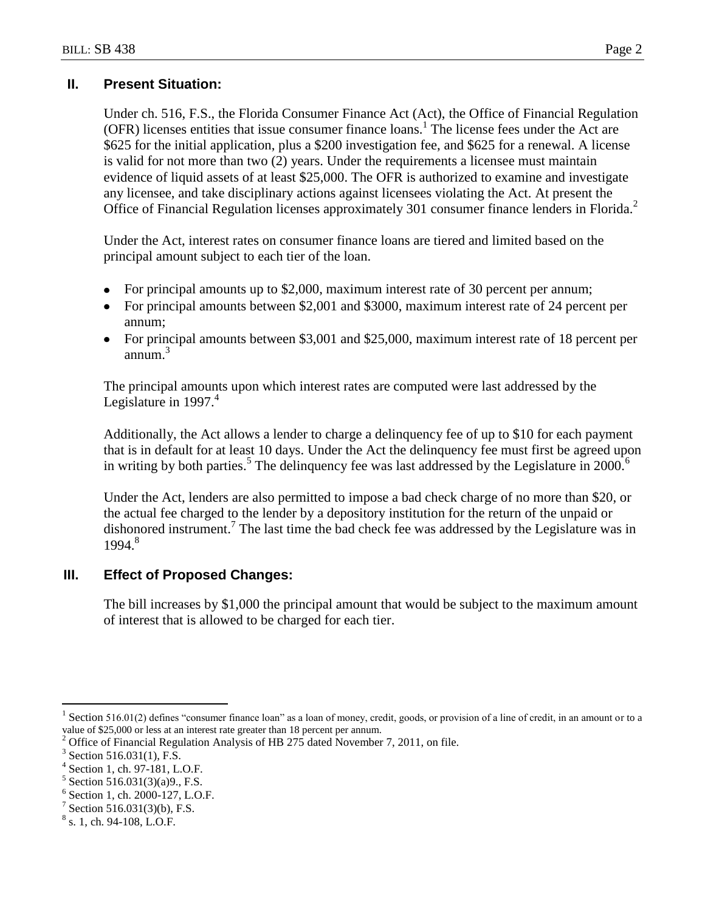### **II. Present Situation:**

Under ch. 516, F.S., the Florida Consumer Finance Act (Act), the Office of Financial Regulation (OFR) licenses entities that issue consumer finance loans.<sup>1</sup> The license fees under the Act are \$625 for the initial application, plus a \$200 investigation fee, and \$625 for a renewal. A license is valid for not more than two (2) years. Under the requirements a licensee must maintain evidence of liquid assets of at least \$25,000. The OFR is authorized to examine and investigate any licensee, and take disciplinary actions against licensees violating the Act. At present the Office of Financial Regulation licenses approximately 301 consumer finance lenders in Florida.<sup>2</sup>

Under the Act, interest rates on consumer finance loans are tiered and limited based on the principal amount subject to each tier of the loan.

- For principal amounts up to \$2,000, maximum interest rate of 30 percent per annum;
- For principal amounts between \$2,001 and \$3000, maximum interest rate of 24 percent per annum;
- For principal amounts between \$3,001 and \$25,000, maximum interest rate of 18 percent per annum.<sup>3</sup>

The principal amounts upon which interest rates are computed were last addressed by the Legislature in 1997.<sup>4</sup>

Additionally, the Act allows a lender to charge a delinquency fee of up to \$10 for each payment that is in default for at least 10 days. Under the Act the delinquency fee must first be agreed upon in writing by both parties.<sup>5</sup> The delinquency fee was last addressed by the Legislature in 2000.<sup>6</sup>

Under the Act, lenders are also permitted to impose a bad check charge of no more than \$20, or the actual fee charged to the lender by a depository institution for the return of the unpaid or dishonored instrument.<sup>7</sup> The last time the bad check fee was addressed by the Legislature was in 1994.<sup>8</sup>

# **III. Effect of Proposed Changes:**

The bill increases by \$1,000 the principal amount that would be subject to the maximum amount of interest that is allowed to be charged for each tier.

 $\overline{a}$ 

<sup>1</sup> Section 516.01(2) defines "consumer finance loan" as a loan of money, credit, goods, or provision of a line of credit, in an amount or to a value of \$25,000 or less at an interest rate greater than 18 percent per annum.

<sup>2</sup> Office of Financial Regulation Analysis of HB 275 dated November 7, 2011, on file.

<sup>3</sup> Section 516.031(1), F.S.

<sup>4</sup> Section 1, ch. 97-181, L.O.F.

<sup>5</sup> Section 516.031(3)(a)9., F.S.

<sup>6</sup> Section 1, ch. 2000-127, L.O.F.

<sup>7</sup> Section 516.031(3)(b), F.S.

 $8$  s. 1, ch. 94-108, L.O.F.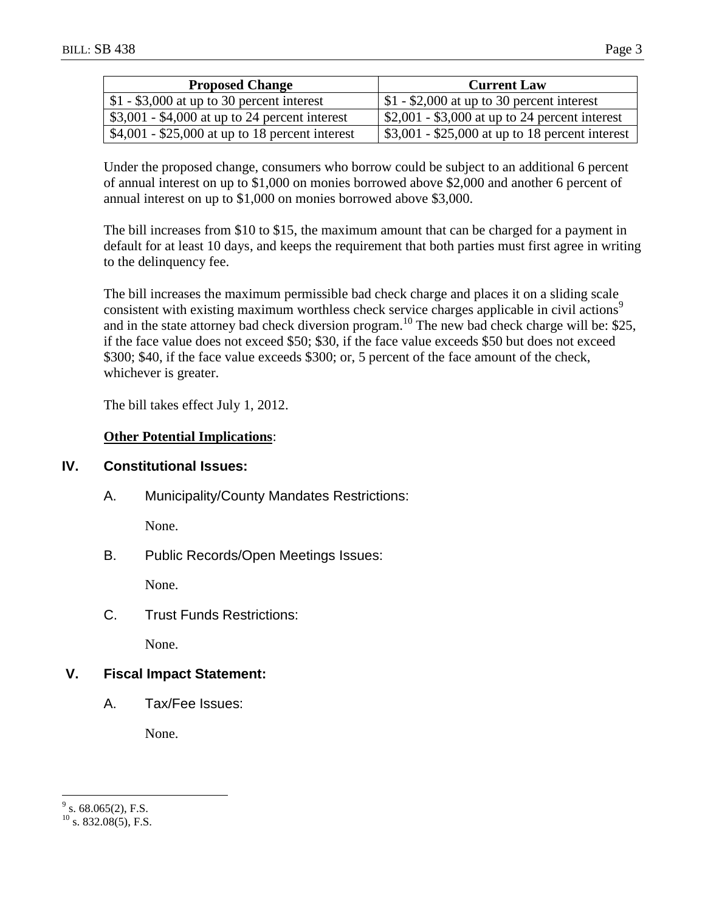| <b>Proposed Change</b>                          | <b>Current Law</b>                              |
|-------------------------------------------------|-------------------------------------------------|
| $$1 - $3,000$ at up to 30 percent interest      | $$1 - $2,000$ at up to 30 percent interest      |
| $$3,001 - $4,000$ at up to 24 percent interest  | $$2,001 - $3,000$ at up to 24 percent interest  |
| $$4,001 - $25,000$ at up to 18 percent interest | $$3,001 - $25,000$ at up to 18 percent interest |

Under the proposed change, consumers who borrow could be subject to an additional 6 percent of annual interest on up to \$1,000 on monies borrowed above \$2,000 and another 6 percent of annual interest on up to \$1,000 on monies borrowed above \$3,000.

The bill increases from \$10 to \$15, the maximum amount that can be charged for a payment in default for at least 10 days, and keeps the requirement that both parties must first agree in writing to the delinquency fee.

The bill increases the maximum permissible bad check charge and places it on a sliding scale consistent with existing maximum worthless check service charges applicable in civil actions<sup>9</sup> and in the state attorney bad check diversion program.<sup>10</sup> The new bad check charge will be: \$25, if the face value does not exceed \$50; \$30, if the face value exceeds \$50 but does not exceed \$300; \$40, if the face value exceeds \$300; or, 5 percent of the face amount of the check, whichever is greater.

The bill takes effect July 1, 2012.

# **Other Potential Implications**:

# **IV. Constitutional Issues:**

A. Municipality/County Mandates Restrictions:

None.

B. Public Records/Open Meetings Issues:

None.

C. Trust Funds Restrictions:

None.

# **V. Fiscal Impact Statement:**

A. Tax/Fee Issues:

None.

 $\overline{a}$ 

 $9^9$  s. 68.065(2), F.S.

 $^{10}$  s. 832.08(5), F.S.